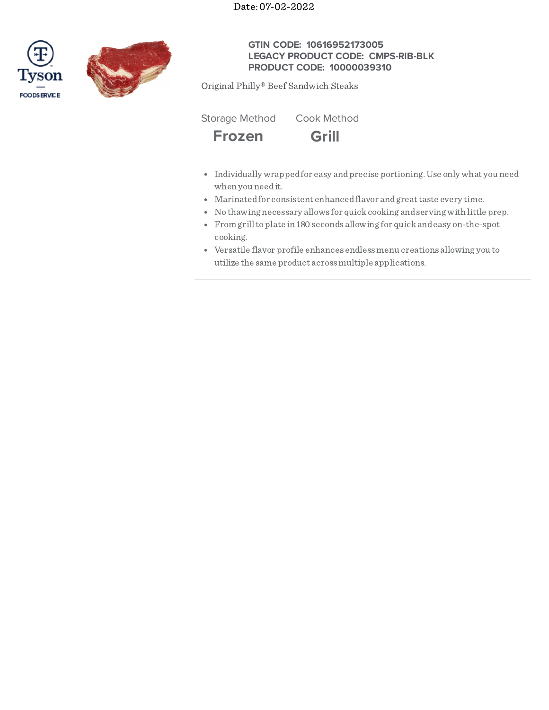Date: 07-02-2022





# **GTIN CODE: 10616952173005 LEGACY PRODUCT CODE: CMPS-RIB-BLK PRODUCT CODE: 10000039310**

Original Philly® Beef Sandwich Steaks





- 
- Individually wrappedfor easy andprecise portioning.Use only what you need when you needit.
- Marinatedfor consistent enhancedflavor andgreattaste every time.
- No thawing necessary allows for quickcooking andserving with little prep.
- From grilltoplate in 180 seconds allowing for quickandeasy on-the-spot cooking.
- Versatile flavor profile enhances endlessmenu creations allowing you to utilize the same product acrossmultiple applications.